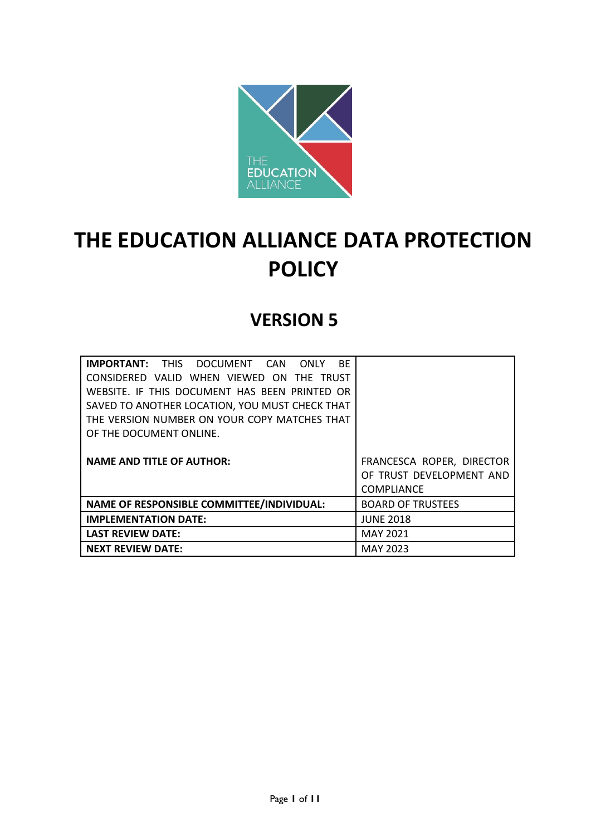

# **THE EDUCATION ALLIANCE DATA PROTECTION POLICY**

# **VERSION 5**

| <b>IMPORTANT:</b> THIS DOCUMENT CAN ONLY<br><b>BE</b> |                           |
|-------------------------------------------------------|---------------------------|
| CONSIDERED VALID WHEN VIEWED ON THE TRUST             |                           |
| WEBSITE. IF THIS DOCUMENT HAS BEEN PRINTED OR         |                           |
| SAVED TO ANOTHER LOCATION, YOU MUST CHECK THAT        |                           |
| THE VERSION NUMBER ON YOUR COPY MATCHES THAT          |                           |
| OF THE DOCUMENT ONLINE.                               |                           |
|                                                       |                           |
| <b>NAME AND TITLE OF AUTHOR:</b>                      | FRANCESCA ROPER, DIRECTOR |
|                                                       | OF TRUST DEVELOPMENT AND  |
|                                                       | <b>COMPLIANCE</b>         |
| <b>NAME OF RESPONSIBLE COMMITTEE/INDIVIDUAL:</b>      | <b>BOARD OF TRUSTEES</b>  |
| <b>IMPLEMENTATION DATE:</b>                           | <b>JUNE 2018</b>          |
| <b>LAST REVIEW DATE:</b>                              | <b>MAY 2021</b>           |
| <b>NEXT REVIEW DATE:</b>                              | <b>MAY 2023</b>           |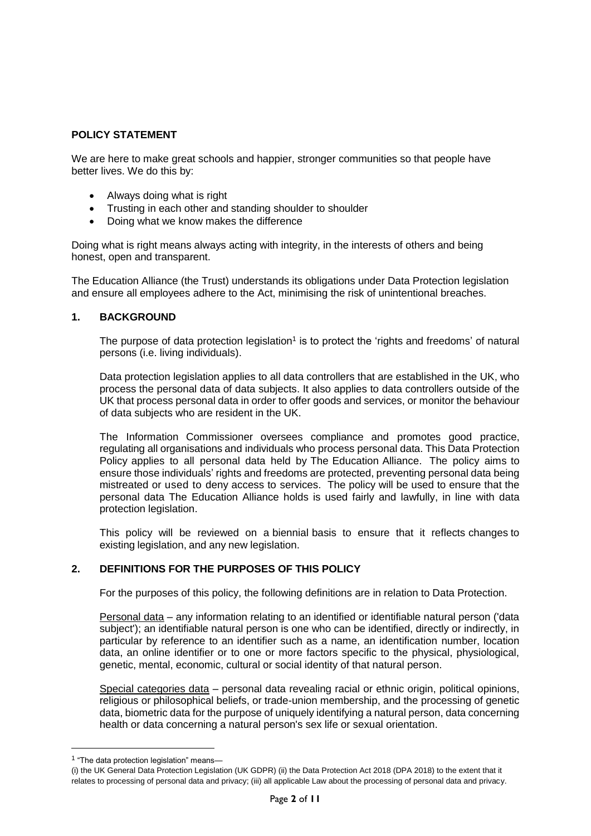# **POLICY STATEMENT**

We are here to make great schools and happier, stronger communities so that people have better lives. We do this by:

- Always doing what is right
- Trusting in each other and standing shoulder to shoulder
- Doing what we know makes the difference

Doing what is right means always acting with integrity, in the interests of others and being honest, open and transparent.

The Education Alliance (the Trust) understands its obligations under Data Protection legislation and ensure all employees adhere to the Act, minimising the risk of unintentional breaches.

#### **1. BACKGROUND**

The purpose of data protection legislation<sup>1</sup> is to protect the 'rights and freedoms' of natural persons (i.e. living individuals).

Data protection legislation applies to all data controllers that are established in the UK, who process the personal data of data subjects. It also applies to data controllers outside of the UK that process personal data in order to offer goods and services, or monitor the behaviour of data subjects who are resident in the UK.

The Information Commissioner oversees compliance and promotes good practice, regulating all organisations and individuals who process personal data. This Data Protection Policy applies to all personal data held by The Education Alliance. The policy aims to ensure those individuals' rights and freedoms are protected, preventing personal data being mistreated or used to deny access to services. The policy will be used to ensure that the personal data The Education Alliance holds is used fairly and lawfully, in line with data protection legislation.

This policy will be reviewed on a biennial basis to ensure that it reflects changes to existing legislation, and any new legislation.

#### **2. DEFINITIONS FOR THE PURPOSES OF THIS POLICY**

For the purposes of this policy, the following definitions are in relation to Data Protection.

Personal data – any information relating to an identified or identifiable natural person ('data subject'); an identifiable natural person is one who can be identified, directly or indirectly, in particular by reference to an identifier such as a name, an identification number, location data, an online identifier or to one or more factors specific to the physical, physiological, genetic, mental, economic, cultural or social identity of that natural person.

Special categories data – personal data revealing racial or ethnic origin, political opinions, religious or philosophical beliefs, or trade-union membership, and the processing of genetic data, biometric data for the purpose of uniquely identifying a natural person, data concerning health or data concerning a natural person's sex life or sexual orientation.

-

<sup>&</sup>lt;sup>1</sup> "The data protection legislation" means-

<sup>(</sup>i) the UK General Data Protection Legislation (UK GDPR) (ii) the Data Protection Act 2018 (DPA 2018) to the extent that it relates to processing of personal data and privacy; (iii) all applicable Law about the processing of personal data and privacy.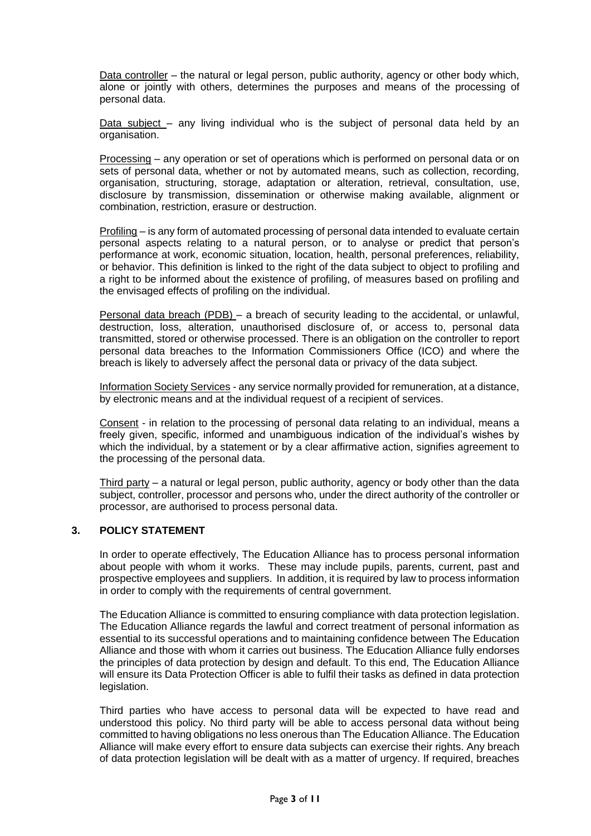Data controller – the natural or legal person, public authority, agency or other body which, alone or jointly with others, determines the purposes and means of the processing of personal data.

Data subject - any living individual who is the subject of personal data held by an organisation.

Processing – any operation or set of operations which is performed on personal data or on sets of personal data, whether or not by automated means, such as collection, recording, organisation, structuring, storage, adaptation or alteration, retrieval, consultation, use, disclosure by transmission, dissemination or otherwise making available, alignment or combination, restriction, erasure or destruction.

Profiling – is any form of automated processing of personal data intended to evaluate certain personal aspects relating to a natural person, or to analyse or predict that person's performance at work, economic situation, location, health, personal preferences, reliability, or behavior. This definition is linked to the right of the data subject to object to profiling and a right to be informed about the existence of profiling, of measures based on profiling and the envisaged effects of profiling on the individual.

Personal data breach (PDB) – a breach of security leading to the accidental, or unlawful, destruction, loss, alteration, unauthorised disclosure of, or access to, personal data transmitted, stored or otherwise processed. There is an obligation on the controller to report personal data breaches to the Information Commissioners Office (ICO) and where the breach is likely to adversely affect the personal data or privacy of the data subject.

Information Society Services - any service normally provided for remuneration, at a distance, by electronic means and at the individual request of a recipient of services.

Consent - in relation to the processing of personal data relating to an individual, means a freely given, specific, informed and unambiguous indication of the individual's wishes by which the individual, by a statement or by a clear affirmative action, signifies agreement to the processing of the personal data.

Third party – a natural or legal person, public authority, agency or body other than the data subject, controller, processor and persons who, under the direct authority of the controller or processor, are authorised to process personal data.

#### **3. POLICY STATEMENT**

In order to operate effectively, The Education Alliance has to process personal information about people with whom it works. These may include pupils, parents, current, past and prospective employees and suppliers. In addition, it is required by law to process information in order to comply with the requirements of central government.

The Education Alliance is committed to ensuring compliance with data protection legislation. The Education Alliance regards the lawful and correct treatment of personal information as essential to its successful operations and to maintaining confidence between The Education Alliance and those with whom it carries out business. The Education Alliance fully endorses the principles of data protection by design and default. To this end, The Education Alliance will ensure its Data Protection Officer is able to fulfil their tasks as defined in data protection legislation.

Third parties who have access to personal data will be expected to have read and understood this policy. No third party will be able to access personal data without being committed to having obligations no less onerous than The Education Alliance. The Education Alliance will make every effort to ensure data subjects can exercise their rights. Any breach of data protection legislation will be dealt with as a matter of urgency. If required, breaches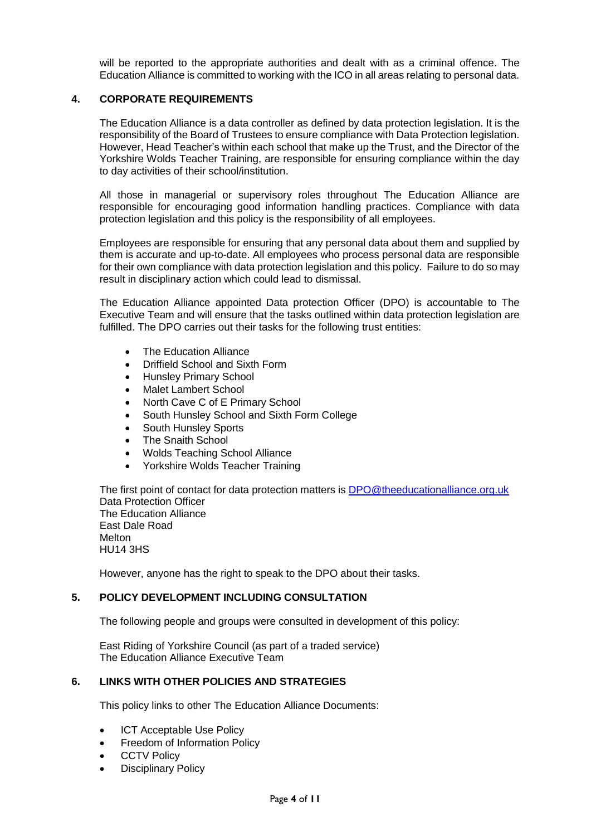will be reported to the appropriate authorities and dealt with as a criminal offence. The Education Alliance is committed to working with the ICO in all areas relating to personal data.

#### **4. CORPORATE REQUIREMENTS**

The Education Alliance is a data controller as defined by data protection legislation. It is the responsibility of the Board of Trustees to ensure compliance with Data Protection legislation. However, Head Teacher's within each school that make up the Trust, and the Director of the Yorkshire Wolds Teacher Training, are responsible for ensuring compliance within the day to day activities of their school/institution.

All those in managerial or supervisory roles throughout The Education Alliance are responsible for encouraging good information handling practices. Compliance with data protection legislation and this policy is the responsibility of all employees.

Employees are responsible for ensuring that any personal data about them and supplied by them is accurate and up-to-date. All employees who process personal data are responsible for their own compliance with data protection legislation and this policy. Failure to do so may result in disciplinary action which could lead to dismissal.

The Education Alliance appointed Data protection Officer (DPO) is accountable to The Executive Team and will ensure that the tasks outlined within data protection legislation are fulfilled. The DPO carries out their tasks for the following trust entities:

- The Education Alliance
- Driffield School and Sixth Form
- Hunsley Primary School
- Malet Lambert School
- North Cave C of E Primary School
- South Hunsley School and Sixth Form College
- South Hunsley Sports
- The Snaith School
- Wolds Teaching School Alliance
- Yorkshire Wolds Teacher Training

The first point of contact for data protection matters is [DPO@theeducationalliance.org.uk](mailto:DPO@theeducationalliance.org.uk) Data Protection Officer The Education Alliance East Dale Road Melton HU14 3HS

However, anyone has the right to speak to the DPO about their tasks.

#### **5. POLICY DEVELOPMENT INCLUDING CONSULTATION**

The following people and groups were consulted in development of this policy:

East Riding of Yorkshire Council (as part of a traded service) The Education Alliance Executive Team

#### **6. LINKS WITH OTHER POLICIES AND STRATEGIES**

This policy links to other The Education Alliance Documents:

- ICT Acceptable Use Policy
- Freedom of Information Policy
- **CCTV Policy**
- Disciplinary Policy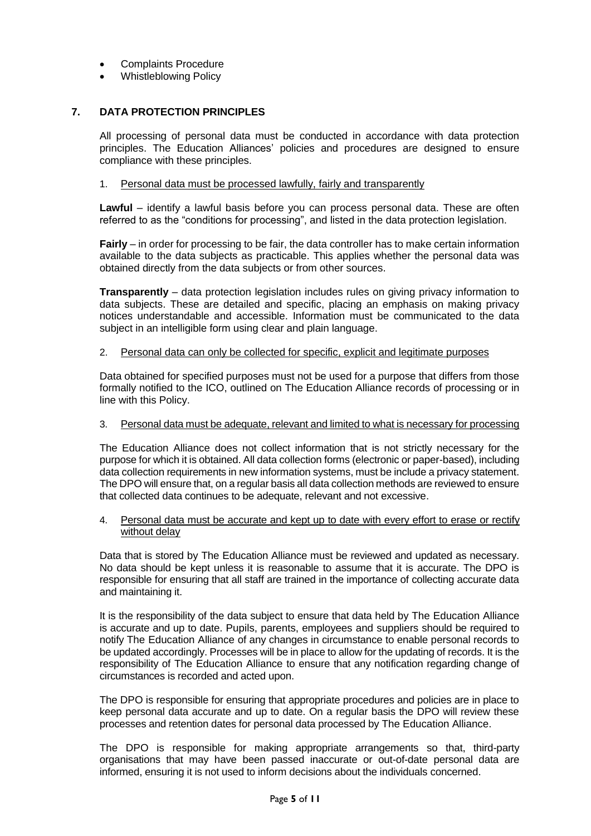- Complaints Procedure
- Whistleblowing Policy

# **7. DATA PROTECTION PRINCIPLES**

All processing of personal data must be conducted in accordance with data protection principles. The Education Alliances' policies and procedures are designed to ensure compliance with these principles.

#### 1. Personal data must be processed lawfully, fairly and transparently

**Lawful** – identify a lawful basis before you can process personal data. These are often referred to as the "conditions for processing", and listed in the data protection legislation.

**Fairly** – in order for processing to be fair, the data controller has to make certain information available to the data subjects as practicable. This applies whether the personal data was obtained directly from the data subjects or from other sources.

**Transparently** – data protection legislation includes rules on giving privacy information to data subjects. These are detailed and specific, placing an emphasis on making privacy notices understandable and accessible. Information must be communicated to the data subject in an intelligible form using clear and plain language.

#### 2. Personal data can only be collected for specific, explicit and legitimate purposes

Data obtained for specified purposes must not be used for a purpose that differs from those formally notified to the ICO, outlined on The Education Alliance records of processing or in line with this Policy.

#### 3. Personal data must be adequate, relevant and limited to what is necessary for processing

The Education Alliance does not collect information that is not strictly necessary for the purpose for which it is obtained. All data collection forms (electronic or paper-based), including data collection requirements in new information systems, must be include a privacy statement. The DPO will ensure that, on a regular basis all data collection methods are reviewed to ensure that collected data continues to be adequate, relevant and not excessive.

#### 4. Personal data must be accurate and kept up to date with every effort to erase or rectify without delay

Data that is stored by The Education Alliance must be reviewed and updated as necessary. No data should be kept unless it is reasonable to assume that it is accurate. The DPO is responsible for ensuring that all staff are trained in the importance of collecting accurate data and maintaining it.

It is the responsibility of the data subject to ensure that data held by The Education Alliance is accurate and up to date. Pupils, parents, employees and suppliers should be required to notify The Education Alliance of any changes in circumstance to enable personal records to be updated accordingly. Processes will be in place to allow for the updating of records. It is the responsibility of The Education Alliance to ensure that any notification regarding change of circumstances is recorded and acted upon.

The DPO is responsible for ensuring that appropriate procedures and policies are in place to keep personal data accurate and up to date. On a regular basis the DPO will review these processes and retention dates for personal data processed by The Education Alliance.

The DPO is responsible for making appropriate arrangements so that, third-party organisations that may have been passed inaccurate or out-of-date personal data are informed, ensuring it is not used to inform decisions about the individuals concerned.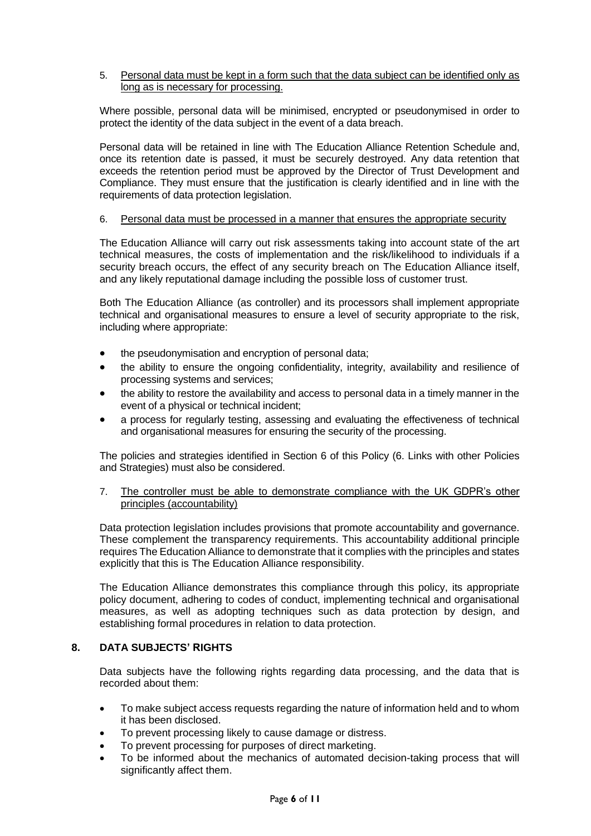#### 5. Personal data must be kept in a form such that the data subject can be identified only as long as is necessary for processing.

Where possible, personal data will be minimised, encrypted or pseudonymised in order to protect the identity of the data subject in the event of a data breach.

Personal data will be retained in line with The Education Alliance Retention Schedule and, once its retention date is passed, it must be securely destroyed. Any data retention that exceeds the retention period must be approved by the Director of Trust Development and Compliance. They must ensure that the justification is clearly identified and in line with the requirements of data protection legislation.

#### 6. Personal data must be processed in a manner that ensures the appropriate security

The Education Alliance will carry out risk assessments taking into account state of the art technical measures, the costs of implementation and the risk/likelihood to individuals if a security breach occurs, the effect of any security breach on The Education Alliance itself, and any likely reputational damage including the possible loss of customer trust.

Both The Education Alliance (as controller) and its processors shall implement appropriate technical and organisational measures to ensure a level of security appropriate to the risk, including where appropriate:

- the pseudonymisation and encryption of personal data;
- the ability to ensure the ongoing confidentiality, integrity, availability and resilience of processing systems and services;
- the ability to restore the availability and access to personal data in a timely manner in the event of a physical or technical incident;
- a process for regularly testing, assessing and evaluating the effectiveness of technical and organisational measures for ensuring the security of the processing.

The policies and strategies identified in Section 6 of this Policy (6. Links with other Policies and Strategies) must also be considered.

7. The controller must be able to demonstrate compliance with the UK GDPR's other principles (accountability)

Data protection legislation includes provisions that promote accountability and governance. These complement the transparency requirements. This accountability additional principle requires The Education Alliance to demonstrate that it complies with the principles and states explicitly that this is The Education Alliance responsibility.

The Education Alliance demonstrates this compliance through this policy, its appropriate policy document, adhering to codes of conduct, implementing technical and organisational measures, as well as adopting techniques such as data protection by design, and establishing formal procedures in relation to data protection.

#### **8. DATA SUBJECTS' RIGHTS**

Data subjects have the following rights regarding data processing, and the data that is recorded about them:

- To make subject access requests regarding the nature of information held and to whom it has been disclosed.
- To prevent processing likely to cause damage or distress.
- To prevent processing for purposes of direct marketing.
- To be informed about the mechanics of automated decision-taking process that will significantly affect them.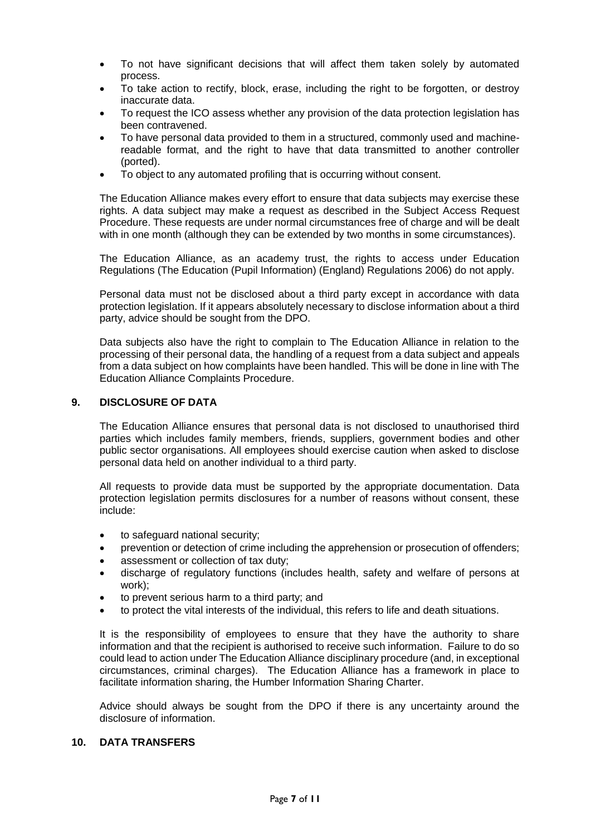- To not have significant decisions that will affect them taken solely by automated process.
- To take action to rectify, block, erase, including the right to be forgotten, or destroy inaccurate data.
- To request the ICO assess whether any provision of the data protection legislation has been contravened.
- To have personal data provided to them in a structured, commonly used and machinereadable format, and the right to have that data transmitted to another controller (ported).
- To object to any automated profiling that is occurring without consent.

The Education Alliance makes every effort to ensure that data subjects may exercise these rights. A data subject may make a request as described in the Subject Access Request Procedure. These requests are under normal circumstances free of charge and will be dealt with in one month (although they can be extended by two months in some circumstances).

The Education Alliance, as an academy trust, the rights to access under Education Regulations (The Education (Pupil Information) (England) Regulations 2006) do not apply.

Personal data must not be disclosed about a third party except in accordance with data protection legislation. If it appears absolutely necessary to disclose information about a third party, advice should be sought from the DPO.

Data subjects also have the right to complain to The Education Alliance in relation to the processing of their personal data, the handling of a request from a data subject and appeals from a data subject on how complaints have been handled. This will be done in line with The Education Alliance Complaints Procedure.

#### **9. DISCLOSURE OF DATA**

The Education Alliance ensures that personal data is not disclosed to unauthorised third parties which includes family members, friends, suppliers, government bodies and other public sector organisations. All employees should exercise caution when asked to disclose personal data held on another individual to a third party.

All requests to provide data must be supported by the appropriate documentation. Data protection legislation permits disclosures for a number of reasons without consent, these include:

- to safeguard national security;
- prevention or detection of crime including the apprehension or prosecution of offenders;
- assessment or collection of tax duty;
- discharge of regulatory functions (includes health, safety and welfare of persons at work);
- to prevent serious harm to a third party; and
- to protect the vital interests of the individual, this refers to life and death situations.

It is the responsibility of employees to ensure that they have the authority to share information and that the recipient is authorised to receive such information. Failure to do so could lead to action under The Education Alliance disciplinary procedure (and, in exceptional circumstances, criminal charges). The Education Alliance has a framework in place to facilitate information sharing, the Humber Information Sharing Charter.

Advice should always be sought from the DPO if there is any uncertainty around the disclosure of information.

#### **10. DATA TRANSFERS**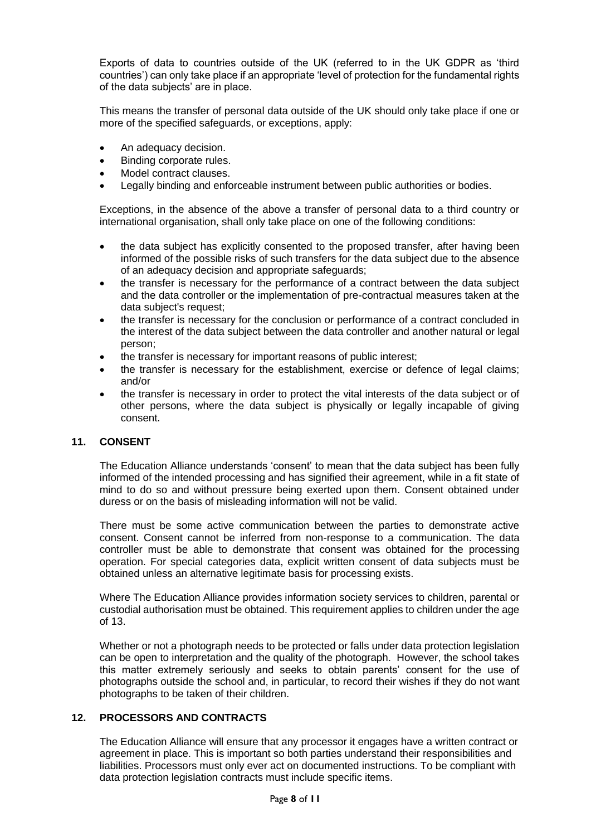Exports of data to countries outside of the UK (referred to in the UK GDPR as 'third countries') can only take place if an appropriate 'level of protection for the fundamental rights of the data subjects' are in place.

This means the transfer of personal data outside of the UK should only take place if one or more of the specified safeguards, or exceptions, apply:

- An adequacy decision.
- Binding corporate rules.
- Model contract clauses.
- Legally binding and enforceable instrument between public authorities or bodies.

Exceptions, in the absence of the above a transfer of personal data to a third country or international organisation, shall only take place on one of the following conditions:

- the data subject has explicitly consented to the proposed transfer, after having been informed of the possible risks of such transfers for the data subject due to the absence of an adequacy decision and appropriate safeguards;
- the transfer is necessary for the performance of a contract between the data subject and the data controller or the implementation of pre-contractual measures taken at the data subject's request;
- the transfer is necessary for the conclusion or performance of a contract concluded in the interest of the data subject between the data controller and another natural or legal person;
- the transfer is necessary for important reasons of public interest;
- the transfer is necessary for the establishment, exercise or defence of legal claims; and/or
- the transfer is necessary in order to protect the vital interests of the data subject or of other persons, where the data subject is physically or legally incapable of giving consent.

# **11. CONSENT**

The Education Alliance understands 'consent' to mean that the data subject has been fully informed of the intended processing and has signified their agreement, while in a fit state of mind to do so and without pressure being exerted upon them. Consent obtained under duress or on the basis of misleading information will not be valid.

There must be some active communication between the parties to demonstrate active consent. Consent cannot be inferred from non-response to a communication. The data controller must be able to demonstrate that consent was obtained for the processing operation. For special categories data, explicit written consent of data subjects must be obtained unless an alternative legitimate basis for processing exists.

Where The Education Alliance provides information society services to children, parental or custodial authorisation must be obtained. This requirement applies to children under the age of 13.

Whether or not a photograph needs to be protected or falls under data protection legislation can be open to interpretation and the quality of the photograph. However, the school takes this matter extremely seriously and seeks to obtain parents' consent for the use of photographs outside the school and, in particular, to record their wishes if they do not want photographs to be taken of their children.

#### **12. PROCESSORS AND CONTRACTS**

The Education Alliance will ensure that any processor it engages have a written contract or agreement in place. This is important so both parties understand their responsibilities and liabilities. Processors must only ever act on documented instructions. To be compliant with data protection legislation contracts must include specific items.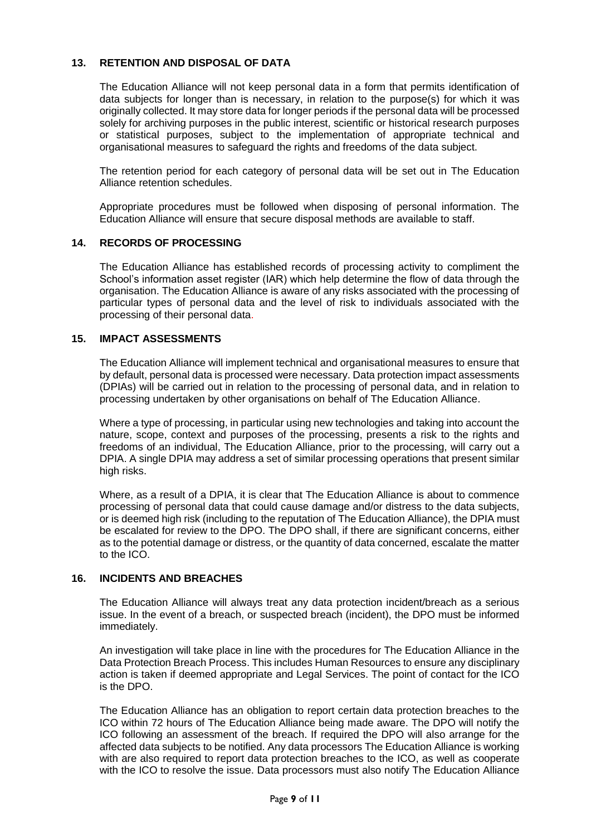# **13. RETENTION AND DISPOSAL OF DATA**

The Education Alliance will not keep personal data in a form that permits identification of data subjects for longer than is necessary, in relation to the purpose(s) for which it was originally collected. It may store data for longer periods if the personal data will be processed solely for archiving purposes in the public interest, scientific or historical research purposes or statistical purposes, subject to the implementation of appropriate technical and organisational measures to safeguard the rights and freedoms of the data subject.

The retention period for each category of personal data will be set out in The Education Alliance retention schedules.

Appropriate procedures must be followed when disposing of personal information. The Education Alliance will ensure that secure disposal methods are available to staff.

#### **14. RECORDS OF PROCESSING**

The Education Alliance has established records of processing activity to compliment the School's information asset register (IAR) which help determine the flow of data through the organisation. The Education Alliance is aware of any risks associated with the processing of particular types of personal data and the level of risk to individuals associated with the processing of their personal data.

#### **15. IMPACT ASSESSMENTS**

The Education Alliance will implement technical and organisational measures to ensure that by default, personal data is processed were necessary. Data protection impact assessments (DPIAs) will be carried out in relation to the processing of personal data, and in relation to processing undertaken by other organisations on behalf of The Education Alliance.

Where a type of processing, in particular using new technologies and taking into account the nature, scope, context and purposes of the processing, presents a risk to the rights and freedoms of an individual, The Education Alliance, prior to the processing, will carry out a DPIA. A single DPIA may address a set of similar processing operations that present similar high risks.

Where, as a result of a DPIA, it is clear that The Education Alliance is about to commence processing of personal data that could cause damage and/or distress to the data subjects, or is deemed high risk (including to the reputation of The Education Alliance), the DPIA must be escalated for review to the DPO. The DPO shall, if there are significant concerns, either as to the potential damage or distress, or the quantity of data concerned, escalate the matter to the ICO.

#### **16. INCIDENTS AND BREACHES**

The Education Alliance will always treat any data protection incident/breach as a serious issue. In the event of a breach, or suspected breach (incident), the DPO must be informed immediately.

An investigation will take place in line with the procedures for The Education Alliance in the Data Protection Breach Process. This includes Human Resources to ensure any disciplinary action is taken if deemed appropriate and Legal Services. The point of contact for the ICO is the DPO.

The Education Alliance has an obligation to report certain data protection breaches to the ICO within 72 hours of The Education Alliance being made aware. The DPO will notify the ICO following an assessment of the breach. If required the DPO will also arrange for the affected data subjects to be notified. Any data processors The Education Alliance is working with are also required to report data protection breaches to the ICO, as well as cooperate with the ICO to resolve the issue. Data processors must also notify The Education Alliance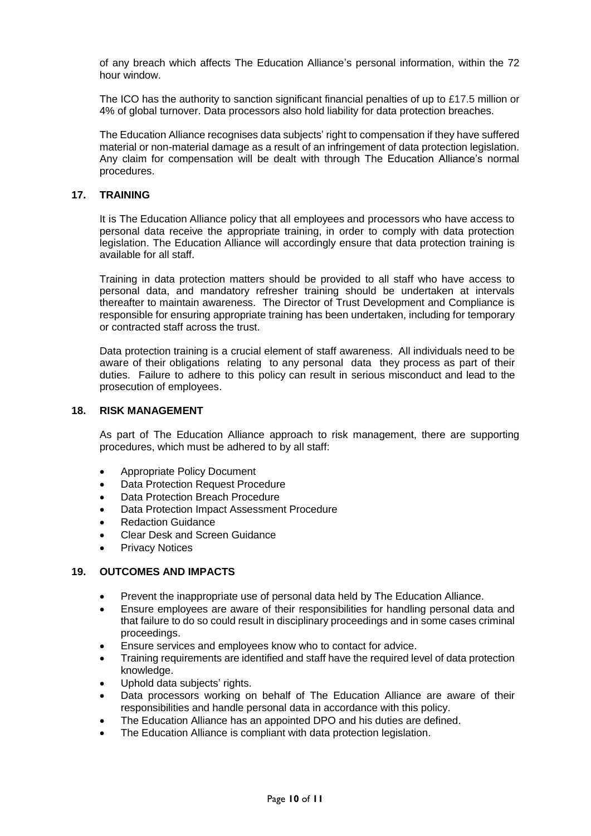of any breach which affects The Education Alliance's personal information, within the 72 hour window.

The ICO has the authority to sanction significant financial penalties of up to £17.5 million or 4% of global turnover. Data processors also hold liability for data protection breaches.

The Education Alliance recognises data subjects' right to compensation if they have suffered material or non-material damage as a result of an infringement of data protection legislation. Any claim for compensation will be dealt with through The Education Alliance's normal procedures.

#### **17. TRAINING**

It is The Education Alliance policy that all employees and processors who have access to personal data receive the appropriate training, in order to comply with data protection legislation. The Education Alliance will accordingly ensure that data protection training is available for all staff.

Training in data protection matters should be provided to all staff who have access to personal data, and mandatory refresher training should be undertaken at intervals thereafter to maintain awareness. The Director of Trust Development and Compliance is responsible for ensuring appropriate training has been undertaken, including for temporary or contracted staff across the trust.

Data protection training is a crucial element of staff awareness. All individuals need to be aware of their obligations relating to any personal data they process as part of their duties. Failure to adhere to this policy can result in serious misconduct and lead to the prosecution of employees.

#### **18. RISK MANAGEMENT**

As part of The Education Alliance approach to risk management, there are supporting procedures, which must be adhered to by all staff:

- Appropriate Policy Document
- Data Protection Request Procedure
- Data Protection Breach Procedure
- Data Protection Impact Assessment Procedure
- Redaction Guidance
- Clear Desk and Screen Guidance
- Privacy Notices

#### **19. OUTCOMES AND IMPACTS**

- Prevent the inappropriate use of personal data held by The Education Alliance.
- Ensure employees are aware of their responsibilities for handling personal data and that failure to do so could result in disciplinary proceedings and in some cases criminal proceedings.
- Ensure services and employees know who to contact for advice.
- Training requirements are identified and staff have the required level of data protection knowledge.
- Uphold data subjects' rights.
- Data processors working on behalf of The Education Alliance are aware of their responsibilities and handle personal data in accordance with this policy.
- The Education Alliance has an appointed DPO and his duties are defined.
- The Education Alliance is compliant with data protection legislation.